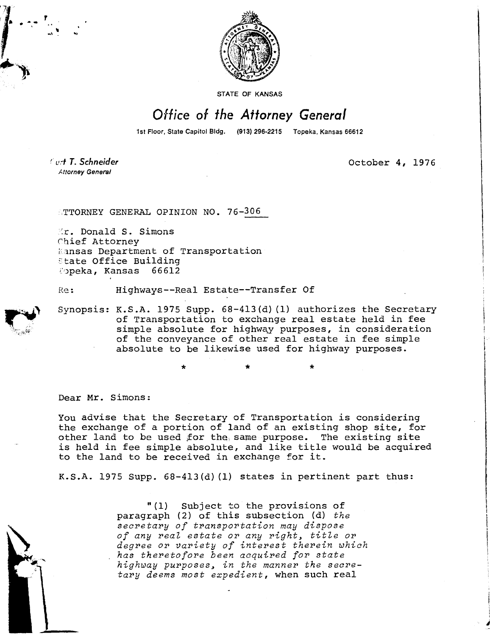

STATE OF KANSAS

## Office of the Attorney General

1st Floor, State Capitol Bldg. (913) 296-2215 Topeka, Kansas 66612

Curt T. Schneider **Attorney General** 

October 4, 1976

ATTORNEY GENERAL OPINION NO. 76-306

**Er. Donald S. Simons** chief Attorney Kansas Department of Transportation State Office Building Opeka, Kansas 66612

Re: Highways--Real Estate--Transfer Of

\*

Synopsis: K.S.A. 1975 Supp. 68-413(d)(1) authorizes the Secretary of Transportation to exchange real estate held in fee simple absolute for highway purposes, in consideration of the conveyance of other real estate in fee simple absolute to be likewise used for highway purposes.

Dear Mr. Simons:

You advise that the Secretary of Transportation is considering the exchange of a portion of land of an existing shop site, for other land to be used for the same purpose. The existing site is held in fee simple absolute, and like title would be acquired to the land to be received in exchange for it.

K.S.A. 1975 Supp. 68-413(d)(1) states in pertinent part thus:

"(1) Subject to the provisions of paragraph (2) of this subsection (d) the secretary of transportation may dispose of any real estate or any right, title or degree or variety of interest therein which has theretofore been acquired for state highway purposes, in the manner the secretary deems most expedient, when such real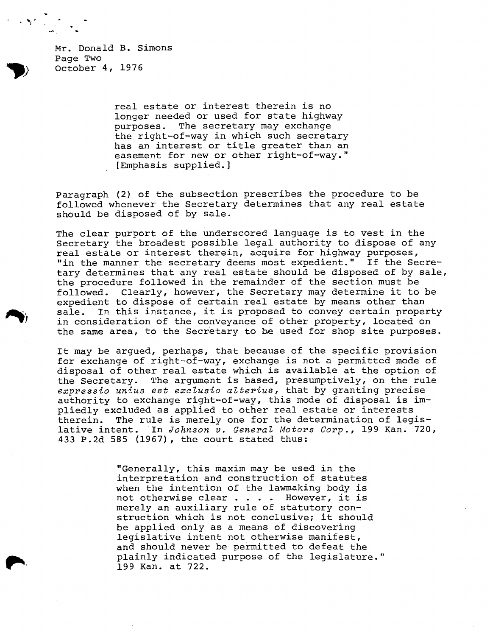Mr. Donald B. Simons Page Two October 4, 1976

> real estate or interest therein is no longer needed or used for state highway purposes. The secretary may exchange the right-of-way in which such secretary has an interest or title greater than an easement for new or other right-of-way." [Emphasis supplied.]

Paragraph (2) of the subsection prescribes the procedure to be followed whenever the Secretary determines that any real estate should be disposed of by sale.

The clear purport of the underscored language is to vest in the Secretary the broadest possible legal authority to dispose of any real estate or interest therein, acquire for highway purposes, "in the manner the secretary deems most expedient." If the Secretary determines that any real estate should be disposed of by sale, the procedure followed in the remainder of the section must be followed. Clearly, however, the Secretary may determine it to be expedient to dispose of certain real estate by means other than sale. In this instance, it is proposed to convey certain property in consideration of the conveyance of other property, located on the same area, to the Secretary to be used for shop site purposes.

It may be argued, perhaps, that because of the specific provision for exchange of right-of-way, exchange is not a permitted mode of disposal of other real estate which is available at the option of the Secretary. The argument is based, presumptively, on the rule expressio unius est exclusio alterius, that by granting precise authority to exchange right-of-way, this mode of disposal is impliedly excluded as applied to other real estate or interests therein. The rule is merely one for the determination of legislative intent. In Johnson v. General Motors Corp., 199 Kan. 720, 433 P.2d 585 (1967), the court stated thus:

> "Generally, this maxim may be used in the interpretation and construction of statutes when the intention of the lawmaking body is not otherwise clear . . . . However, it is merely an auxiliary rule of statutory construction which is not conclusive; it should be applied only as a means of discovering legislative intent not otherwise manifest, and should never be permitted to defeat the plainly indicated purpose of the legislature." 199 Kan. at 722.